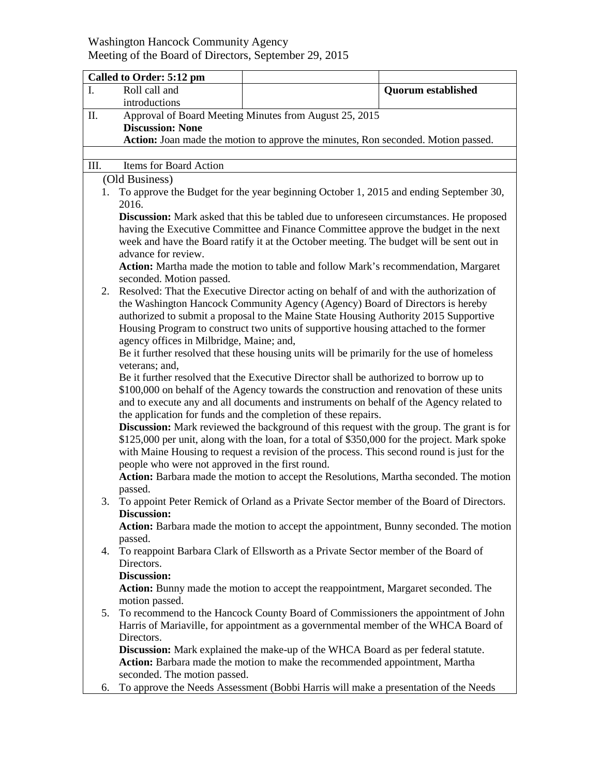## Washington Hancock Community Agency Meeting of the Board of Directors, September 29, 2015

|                                                                                                  | Called to Order: 5:12 pm                                                                                                                                                                                                                                                                                                 |                                                                                     |                           |  |  |  |
|--------------------------------------------------------------------------------------------------|--------------------------------------------------------------------------------------------------------------------------------------------------------------------------------------------------------------------------------------------------------------------------------------------------------------------------|-------------------------------------------------------------------------------------|---------------------------|--|--|--|
| I.                                                                                               | Roll call and                                                                                                                                                                                                                                                                                                            |                                                                                     | <b>Quorum</b> established |  |  |  |
|                                                                                                  | introductions                                                                                                                                                                                                                                                                                                            |                                                                                     |                           |  |  |  |
| Π.                                                                                               |                                                                                                                                                                                                                                                                                                                          | Approval of Board Meeting Minutes from August 25, 2015                              |                           |  |  |  |
|                                                                                                  | <b>Discussion: None</b>                                                                                                                                                                                                                                                                                                  |                                                                                     |                           |  |  |  |
|                                                                                                  | Action: Joan made the motion to approve the minutes, Ron seconded. Motion passed.                                                                                                                                                                                                                                        |                                                                                     |                           |  |  |  |
|                                                                                                  |                                                                                                                                                                                                                                                                                                                          |                                                                                     |                           |  |  |  |
|                                                                                                  | Items for Board Action<br>III.                                                                                                                                                                                                                                                                                           |                                                                                     |                           |  |  |  |
| (Old Business)                                                                                   |                                                                                                                                                                                                                                                                                                                          |                                                                                     |                           |  |  |  |
| 1.                                                                                               | To approve the Budget for the year beginning October 1, 2015 and ending September 30,                                                                                                                                                                                                                                    |                                                                                     |                           |  |  |  |
|                                                                                                  | 2016.                                                                                                                                                                                                                                                                                                                    |                                                                                     |                           |  |  |  |
|                                                                                                  | <b>Discussion:</b> Mark asked that this be tabled due to unforeseen circumstances. He proposed                                                                                                                                                                                                                           |                                                                                     |                           |  |  |  |
|                                                                                                  | having the Executive Committee and Finance Committee approve the budget in the next<br>week and have the Board ratify it at the October meeting. The budget will be sent out in<br>advance for review.<br>Action: Martha made the motion to table and follow Mark's recommendation, Margaret<br>seconded. Motion passed. |                                                                                     |                           |  |  |  |
|                                                                                                  |                                                                                                                                                                                                                                                                                                                          |                                                                                     |                           |  |  |  |
|                                                                                                  |                                                                                                                                                                                                                                                                                                                          |                                                                                     |                           |  |  |  |
|                                                                                                  |                                                                                                                                                                                                                                                                                                                          |                                                                                     |                           |  |  |  |
| 2.                                                                                               |                                                                                                                                                                                                                                                                                                                          |                                                                                     |                           |  |  |  |
|                                                                                                  | Resolved: That the Executive Director acting on behalf of and with the authorization of<br>the Washington Hancock Community Agency (Agency) Board of Directors is hereby                                                                                                                                                 |                                                                                     |                           |  |  |  |
|                                                                                                  | authorized to submit a proposal to the Maine State Housing Authority 2015 Supportive                                                                                                                                                                                                                                     |                                                                                     |                           |  |  |  |
|                                                                                                  | Housing Program to construct two units of supportive housing attached to the former                                                                                                                                                                                                                                      |                                                                                     |                           |  |  |  |
|                                                                                                  | agency offices in Milbridge, Maine; and,                                                                                                                                                                                                                                                                                 |                                                                                     |                           |  |  |  |
|                                                                                                  | Be it further resolved that these housing units will be primarily for the use of homeless                                                                                                                                                                                                                                |                                                                                     |                           |  |  |  |
|                                                                                                  | veterans; and,                                                                                                                                                                                                                                                                                                           |                                                                                     |                           |  |  |  |
|                                                                                                  | Be it further resolved that the Executive Director shall be authorized to borrow up to                                                                                                                                                                                                                                   |                                                                                     |                           |  |  |  |
|                                                                                                  | \$100,000 on behalf of the Agency towards the construction and renovation of these units                                                                                                                                                                                                                                 |                                                                                     |                           |  |  |  |
|                                                                                                  | and to execute any and all documents and instruments on behalf of the Agency related to                                                                                                                                                                                                                                  |                                                                                     |                           |  |  |  |
|                                                                                                  | the application for funds and the completion of these repairs.                                                                                                                                                                                                                                                           |                                                                                     |                           |  |  |  |
|                                                                                                  | Discussion: Mark reviewed the background of this request with the group. The grant is for                                                                                                                                                                                                                                |                                                                                     |                           |  |  |  |
|                                                                                                  | \$125,000 per unit, along with the loan, for a total of \$350,000 for the project. Mark spoke                                                                                                                                                                                                                            |                                                                                     |                           |  |  |  |
|                                                                                                  | with Maine Housing to request a revision of the process. This second round is just for the                                                                                                                                                                                                                               |                                                                                     |                           |  |  |  |
|                                                                                                  | people who were not approved in the first round.                                                                                                                                                                                                                                                                         |                                                                                     |                           |  |  |  |
|                                                                                                  | Action: Barbara made the motion to accept the Resolutions, Martha seconded. The motion                                                                                                                                                                                                                                   |                                                                                     |                           |  |  |  |
|                                                                                                  | passed.                                                                                                                                                                                                                                                                                                                  |                                                                                     |                           |  |  |  |
|                                                                                                  | To appoint Peter Remick of Orland as a Private Sector member of the Board of Directors.<br>3.                                                                                                                                                                                                                            |                                                                                     |                           |  |  |  |
|                                                                                                  | <b>Discussion:</b><br>Action: Barbara made the motion to accept the appointment, Bunny seconded. The motion                                                                                                                                                                                                              |                                                                                     |                           |  |  |  |
|                                                                                                  | passed.                                                                                                                                                                                                                                                                                                                  |                                                                                     |                           |  |  |  |
| 4.                                                                                               |                                                                                                                                                                                                                                                                                                                          |                                                                                     |                           |  |  |  |
| To reappoint Barbara Clark of Ellsworth as a Private Sector member of the Board of<br>Directors. |                                                                                                                                                                                                                                                                                                                          |                                                                                     |                           |  |  |  |
| Discussion:                                                                                      |                                                                                                                                                                                                                                                                                                                          |                                                                                     |                           |  |  |  |
|                                                                                                  |                                                                                                                                                                                                                                                                                                                          | Action: Bunny made the motion to accept the reappointment, Margaret seconded. The   |                           |  |  |  |
|                                                                                                  | motion passed.                                                                                                                                                                                                                                                                                                           |                                                                                     |                           |  |  |  |
| 5.                                                                                               |                                                                                                                                                                                                                                                                                                                          | To recommend to the Hancock County Board of Commissioners the appointment of John   |                           |  |  |  |
|                                                                                                  | Harris of Mariaville, for appointment as a governmental member of the WHCA Board of                                                                                                                                                                                                                                      |                                                                                     |                           |  |  |  |
|                                                                                                  | Directors.                                                                                                                                                                                                                                                                                                               |                                                                                     |                           |  |  |  |
|                                                                                                  | Discussion: Mark explained the make-up of the WHCA Board as per federal statute.                                                                                                                                                                                                                                         |                                                                                     |                           |  |  |  |
|                                                                                                  | Action: Barbara made the motion to make the recommended appointment, Martha                                                                                                                                                                                                                                              |                                                                                     |                           |  |  |  |
|                                                                                                  | seconded. The motion passed.                                                                                                                                                                                                                                                                                             |                                                                                     |                           |  |  |  |
| 6.                                                                                               |                                                                                                                                                                                                                                                                                                                          | To approve the Needs Assessment (Bobbi Harris will make a presentation of the Needs |                           |  |  |  |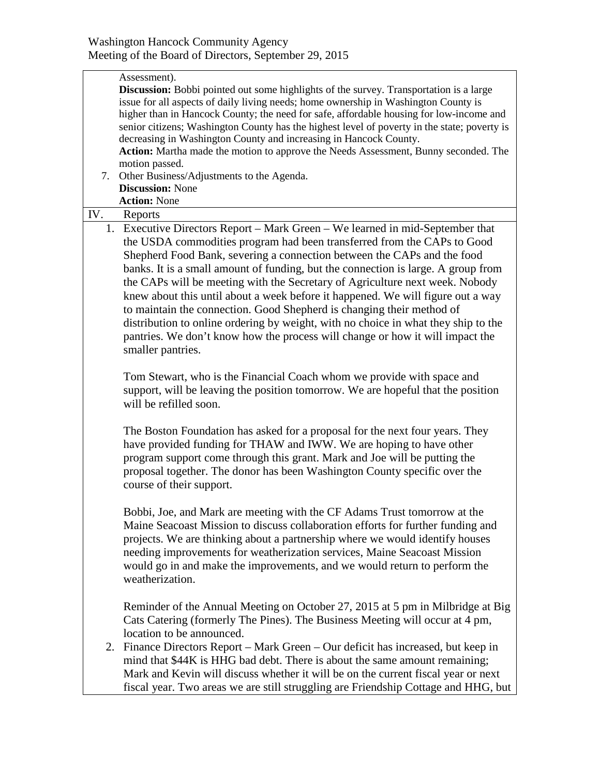|     | Assessment).<br><b>Discussion:</b> Bobbi pointed out some highlights of the survey. Transportation is a large<br>issue for all aspects of daily living needs; home ownership in Washington County is<br>higher than in Hancock County; the need for safe, affordable housing for low-income and<br>senior citizens; Washington County has the highest level of poverty in the state; poverty is<br>decreasing in Washington County and increasing in Hancock County.<br>Action: Martha made the motion to approve the Needs Assessment, Bunny seconded. The<br>motion passed.<br>7. Other Business/Adjustments to the Agenda.<br><b>Discussion: None</b><br><b>Action: None</b>                                                                                  |
|-----|------------------------------------------------------------------------------------------------------------------------------------------------------------------------------------------------------------------------------------------------------------------------------------------------------------------------------------------------------------------------------------------------------------------------------------------------------------------------------------------------------------------------------------------------------------------------------------------------------------------------------------------------------------------------------------------------------------------------------------------------------------------|
| IV. | Reports                                                                                                                                                                                                                                                                                                                                                                                                                                                                                                                                                                                                                                                                                                                                                          |
|     | 1. Executive Directors Report – Mark Green – We learned in mid-September that<br>the USDA commodities program had been transferred from the CAPs to Good<br>Shepherd Food Bank, severing a connection between the CAPs and the food<br>banks. It is a small amount of funding, but the connection is large. A group from<br>the CAPs will be meeting with the Secretary of Agriculture next week. Nobody<br>knew about this until about a week before it happened. We will figure out a way<br>to maintain the connection. Good Shepherd is changing their method of<br>distribution to online ordering by weight, with no choice in what they ship to the<br>pantries. We don't know how the process will change or how it will impact the<br>smaller pantries. |
|     | Tom Stewart, who is the Financial Coach whom we provide with space and<br>support, will be leaving the position tomorrow. We are hopeful that the position<br>will be refilled soon.                                                                                                                                                                                                                                                                                                                                                                                                                                                                                                                                                                             |
|     | The Boston Foundation has asked for a proposal for the next four years. They<br>have provided funding for THAW and IWW. We are hoping to have other<br>program support come through this grant. Mark and Joe will be putting the<br>proposal together. The donor has been Washington County specific over the<br>course of their support.                                                                                                                                                                                                                                                                                                                                                                                                                        |
|     | Bobbi, Joe, and Mark are meeting with the CF Adams Trust tomorrow at the<br>Maine Seacoast Mission to discuss collaboration efforts for further funding and<br>projects. We are thinking about a partnership where we would identify houses<br>needing improvements for weatherization services, Maine Seacoast Mission<br>would go in and make the improvements, and we would return to perform the<br>weatherization.                                                                                                                                                                                                                                                                                                                                          |
| 2.  | Reminder of the Annual Meeting on October 27, 2015 at 5 pm in Milbridge at Big<br>Cats Catering (formerly The Pines). The Business Meeting will occur at 4 pm,<br>location to be announced.<br>Finance Directors Report – Mark Green – Our deficit has increased, but keep in<br>mind that \$44K is HHG bad debt. There is about the same amount remaining;<br>Mark and Kevin will discuss whether it will be on the current fiscal year or next<br>fiscal year. Two areas we are still struggling are Friendship Cottage and HHG, but                                                                                                                                                                                                                           |